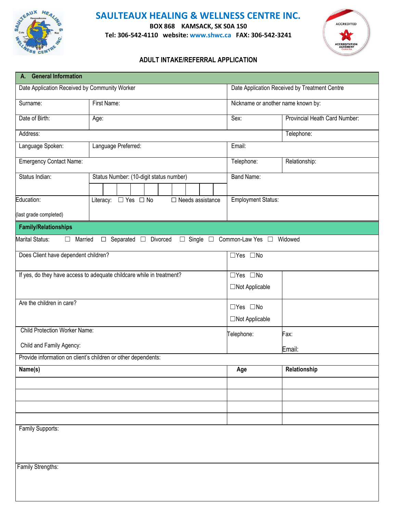

## **SAULTEAUX HEALING & WELLNESS CENTRE INC.**

**BOX 868 KAMSACK, SK S0A 1S0**

**Tel: 306-542-4110 website: www.shwc.ca FAX: 306-542-3241**



## **ADULT INTAKE/REFERRAL APPLICATION**

| A. General Information                                                |             |                                         |  |                         |                                     |                                               |  |
|-----------------------------------------------------------------------|-------------|-----------------------------------------|--|-------------------------|-------------------------------------|-----------------------------------------------|--|
| Date Application Received by Community Worker                         |             |                                         |  |                         |                                     | Date Application Received by Treatment Centre |  |
| Surname:                                                              | First Name: |                                         |  |                         | Nickname or another name known by:  |                                               |  |
| Date of Birth:                                                        | Age:        |                                         |  |                         | Sex:                                | Provincial Heath Card Number:                 |  |
| Address:                                                              |             |                                         |  |                         |                                     | Telephone:                                    |  |
| Language Spoken:                                                      |             | Language Preferred:                     |  |                         | Email:                              |                                               |  |
| <b>Emergency Contact Name:</b>                                        |             |                                         |  |                         | Telephone:                          | Relationship:                                 |  |
| Status Indian:                                                        |             | Status Number: (10-digit status number) |  |                         | <b>Band Name:</b>                   |                                               |  |
|                                                                       |             |                                         |  |                         |                                     |                                               |  |
| Education:                                                            |             | Literacy: □ Yes □ No                    |  | $\Box$ Needs assistance | <b>Employment Status:</b>           |                                               |  |
| last grade completed)                                                 |             |                                         |  |                         |                                     |                                               |  |
| <b>Family/Relationships</b>                                           |             |                                         |  |                         |                                     |                                               |  |
| Marital Status:<br>Married<br>$\Box$                                  |             | $\Box$ Separated $\Box$ Divorced        |  |                         | □ Single □ Common-Law Yes □ Widowed |                                               |  |
| Does Client have dependent children?                                  |             |                                         |  |                         | □Yes □No                            |                                               |  |
| If yes, do they have access to adequate childcare while in treatment? |             |                                         |  |                         | $\Box$ Yes $\Box$ No                |                                               |  |
|                                                                       |             |                                         |  |                         | □Not Applicable                     |                                               |  |
| Are the children in care?                                             |             |                                         |  |                         | $\Box$ Yes $\Box$ No                |                                               |  |
|                                                                       |             |                                         |  |                         | □Not Applicable                     |                                               |  |
| <b>Child Protection Worker Name:</b>                                  |             |                                         |  |                         | Telephone:                          | Fax:                                          |  |
| Child and Family Agency:                                              |             |                                         |  |                         |                                     | Email:                                        |  |
| Provide information on client's children or other dependents:         |             |                                         |  |                         |                                     |                                               |  |
| Name(s)                                                               |             |                                         |  |                         | Age                                 | Relationship                                  |  |
|                                                                       |             |                                         |  |                         |                                     |                                               |  |
|                                                                       |             |                                         |  |                         |                                     |                                               |  |
|                                                                       |             |                                         |  |                         |                                     |                                               |  |
|                                                                       |             |                                         |  |                         |                                     |                                               |  |
| Family Supports:                                                      |             |                                         |  |                         |                                     |                                               |  |
|                                                                       |             |                                         |  |                         |                                     |                                               |  |
|                                                                       |             |                                         |  |                         |                                     |                                               |  |
| Family Strengths:                                                     |             |                                         |  |                         |                                     |                                               |  |
|                                                                       |             |                                         |  |                         |                                     |                                               |  |
|                                                                       |             |                                         |  |                         |                                     |                                               |  |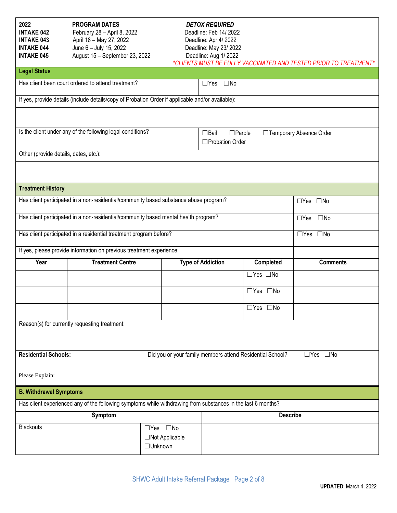| 2022                                  | <b>PROGRAM DATES</b>                                                                                         |                      | <b>DETOX REQUIRED</b>      |                                                           |                                                                  |  |  |  |
|---------------------------------------|--------------------------------------------------------------------------------------------------------------|----------------------|----------------------------|-----------------------------------------------------------|------------------------------------------------------------------|--|--|--|
| <b>INTAKE 042</b>                     | February 28 - April 8, 2022                                                                                  |                      | Deadline: Feb 14/2022      |                                                           |                                                                  |  |  |  |
| <b>INTAKE 043</b>                     | April 18 - May 27, 2022                                                                                      | Deadline: Apr 4/2022 |                            |                                                           |                                                                  |  |  |  |
| <b>INTAKE 044</b>                     | June 6 - July 15, 2022                                                                                       |                      | Deadline: May 23/ 2022     |                                                           |                                                                  |  |  |  |
| <b>INTAKE 045</b>                     | August 15 - September 23, 2022                                                                               |                      | Deadline: Aug 1/2022       |                                                           |                                                                  |  |  |  |
|                                       |                                                                                                              |                      |                            |                                                           | *CLIENTS MUST BE FULLY VACCINATED AND TESTED PRIOR TO TREATMENT* |  |  |  |
| <b>Legal Status</b>                   |                                                                                                              |                      |                            |                                                           |                                                                  |  |  |  |
|                                       | Has client been court ordered to attend treatment?                                                           |                      | $\square$ No<br>$\Box$ Yes |                                                           |                                                                  |  |  |  |
|                                       | If yes, provide details (include details/copy of Probation Order if applicable and/or available):            |                      |                            |                                                           |                                                                  |  |  |  |
|                                       |                                                                                                              |                      |                            |                                                           |                                                                  |  |  |  |
|                                       | Is the client under any of the following legal conditions?                                                   |                      |                            |                                                           |                                                                  |  |  |  |
|                                       |                                                                                                              |                      | $\Box$ Bail                | $\square$ Parole                                          | □ Temporary Absence Order                                        |  |  |  |
|                                       |                                                                                                              |                      | □Probation Order           |                                                           |                                                                  |  |  |  |
| Other (provide details, dates, etc.): |                                                                                                              |                      |                            |                                                           |                                                                  |  |  |  |
|                                       |                                                                                                              |                      |                            |                                                           |                                                                  |  |  |  |
|                                       |                                                                                                              |                      |                            |                                                           |                                                                  |  |  |  |
| <b>Treatment History</b>              |                                                                                                              |                      |                            |                                                           |                                                                  |  |  |  |
|                                       | Has client participated in a non-residential/community based substance abuse program?                        |                      |                            |                                                           |                                                                  |  |  |  |
|                                       |                                                                                                              |                      |                            |                                                           | $\Box$ Yes $\Box$ No                                             |  |  |  |
|                                       | Has client participated in a non-residential/community based mental health program?                          |                      |                            |                                                           | $\square$ No<br>$\Box$ Yes                                       |  |  |  |
|                                       | Has client participated in a residential treatment program before?                                           |                      |                            |                                                           | $\square$ No<br>$\Box$ Yes                                       |  |  |  |
|                                       | If yes, please provide information on previous treatment experience:                                         |                      |                            |                                                           |                                                                  |  |  |  |
| Year                                  | <b>Treatment Centre</b>                                                                                      |                      | <b>Type of Addiction</b>   | Completed                                                 | <b>Comments</b>                                                  |  |  |  |
|                                       |                                                                                                              |                      |                            | $\Box$ Yes $\Box$ No                                      |                                                                  |  |  |  |
|                                       |                                                                                                              |                      |                            | □Yes □No                                                  |                                                                  |  |  |  |
|                                       |                                                                                                              |                      |                            | $\Box$ Yes $\Box$ No                                      |                                                                  |  |  |  |
|                                       |                                                                                                              |                      |                            |                                                           |                                                                  |  |  |  |
|                                       | Reason(s) for currently requesting treatment:                                                                |                      |                            |                                                           |                                                                  |  |  |  |
|                                       |                                                                                                              |                      |                            |                                                           |                                                                  |  |  |  |
|                                       |                                                                                                              |                      |                            |                                                           |                                                                  |  |  |  |
| <b>Residential Schools:</b>           |                                                                                                              |                      |                            | Did you or your family members attend Residential School? | $\Box$ Yes $\Box$ No                                             |  |  |  |
| Please Explain:                       |                                                                                                              |                      |                            |                                                           |                                                                  |  |  |  |
| <b>B. Withdrawal Symptoms</b>         |                                                                                                              |                      |                            |                                                           |                                                                  |  |  |  |
|                                       | Has client experienced any of the following symptoms while withdrawing from substances in the last 6 months? |                      |                            |                                                           |                                                                  |  |  |  |
|                                       | Symptom                                                                                                      |                      |                            |                                                           | <b>Describe</b>                                                  |  |  |  |
| <b>Blackouts</b>                      |                                                                                                              | $\Box$ Yes $\Box$ No |                            |                                                           |                                                                  |  |  |  |
|                                       |                                                                                                              |                      |                            |                                                           |                                                                  |  |  |  |
|                                       |                                                                                                              | □Not Applicable      |                            |                                                           |                                                                  |  |  |  |
|                                       |                                                                                                              | □Unknown             |                            |                                                           |                                                                  |  |  |  |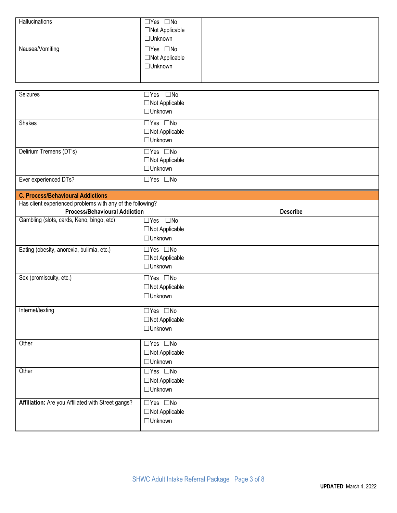| Hallucinations  | $\Box$ Yes $\Box$ No<br>□Not Applicable<br>□Unknown |  |
|-----------------|-----------------------------------------------------|--|
| Nausea/Vomiting | $\Box$ Yes $\Box$ No<br>□Not Applicable<br>□Unknown |  |

| Seizures                                                                                           | $\Box$ Yes $\Box$ No<br>□Not Applicable<br>□Unknown             |                 |
|----------------------------------------------------------------------------------------------------|-----------------------------------------------------------------|-----------------|
| Shakes                                                                                             | □Yes □No<br>$\Box$ Not Applicable<br>□ Unknown                  |                 |
| Delirium Tremens (DT's)                                                                            | $\Box$ Yes $\Box$ No<br>$\Box$ Not Applicable<br>$\Box$ Unknown |                 |
| Ever experienced DTs?                                                                              | $\Box$ Yes $\Box$ No                                            |                 |
| <b>C. Process/Behavioural Addictions</b>                                                           |                                                                 |                 |
| Has client experienced problems with any of the following?<br><b>Process/Behavioural Addiction</b> |                                                                 | <b>Describe</b> |
| Gambling (slots, cards, Keno, bingo, etc)                                                          | $\Box$ Yes $\Box$ No                                            |                 |
|                                                                                                    | □Not Applicable<br>□Unknown                                     |                 |
| Eating (obesity, anorexia, bulimia, etc.)                                                          | $\Box$ Yes $\Box$ No<br>□Not Applicable<br>□Unknown             |                 |
| Sex (promiscuity, etc.)                                                                            | $\Box$ Yes $\Box$ No<br>□Not Applicable<br>□Unknown             |                 |
| Internet/texting                                                                                   | $\Box$ Yes $\Box$ No<br>□Not Applicable<br>□Unknown             |                 |
| Other                                                                                              | $\Box$ Yes $\Box$ No<br>□Not Applicable<br>□ Unknown            |                 |
| Other                                                                                              | $\Box$ Yes $\Box$ No<br>$\Box$ Not Applicable<br>□Unknown       |                 |
| Affiliation: Are you Affiliated with Street gangs?                                                 | $\Box$ Yes $\Box$ No<br>□Not Applicable<br>□Unknown             |                 |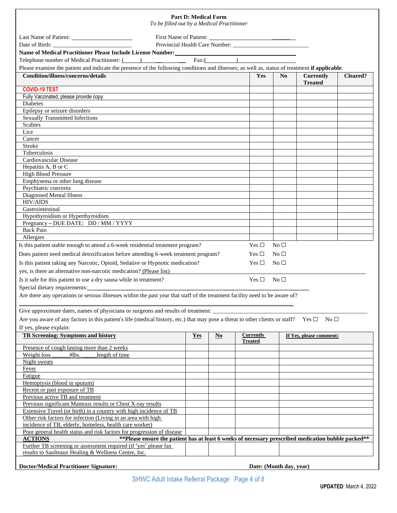| To be filled out by a Medical Practitioner                                                                                                                    | <b>Part D: Medical Form</b> |                          |                  |                 |                                    |          |
|---------------------------------------------------------------------------------------------------------------------------------------------------------------|-----------------------------|--------------------------|------------------|-----------------|------------------------------------|----------|
|                                                                                                                                                               |                             |                          |                  |                 |                                    |          |
| Date of Birth:                                                                                                                                                |                             |                          |                  |                 |                                    |          |
| Name of Medical Practitioner Please Include License Number:                                                                                                   |                             |                          |                  |                 |                                    |          |
| Telephone number of Medical Practitioner: $($ $)$ $\qquad$                                                                                                    |                             | Fax: $($                 |                  |                 |                                    |          |
| Please examine the patient and indicate the presence of the following conditions and illnesses; as well as, status of treatment if applicable:                |                             |                          |                  |                 |                                    |          |
| <b>Condition/illness/concerns/details</b>                                                                                                                     |                             |                          | Yes              | No              | <b>Currently</b><br><b>Treated</b> | Cleared? |
| <b>COVID-19 TEST</b><br>Fully Vaccinated, please provide copy                                                                                                 |                             |                          |                  |                 |                                    |          |
| Diabetes                                                                                                                                                      |                             |                          |                  |                 |                                    |          |
| Epilepsy or seizure disorders                                                                                                                                 |                             |                          |                  |                 |                                    |          |
| <b>Sexually Transmitted Infections</b>                                                                                                                        |                             |                          |                  |                 |                                    |          |
| <b>Scabies</b>                                                                                                                                                |                             |                          |                  |                 |                                    |          |
| Lice                                                                                                                                                          |                             |                          |                  |                 |                                    |          |
| Cancer<br>Stroke                                                                                                                                              |                             |                          |                  |                 |                                    |          |
| Tuberculosis                                                                                                                                                  |                             |                          |                  |                 |                                    |          |
| Cardiovascular Disease                                                                                                                                        |                             |                          |                  |                 |                                    |          |
| Hepatitis A, B or C                                                                                                                                           |                             |                          |                  |                 |                                    |          |
| <b>High Blood Pressure</b>                                                                                                                                    |                             |                          |                  |                 |                                    |          |
| Emphysema or other lung disease                                                                                                                               |                             |                          |                  |                 |                                    |          |
| Psychiatric concerns<br>Diagnosed Mental Illness                                                                                                              |                             |                          |                  |                 |                                    |          |
| <b>HIV/AIDS</b>                                                                                                                                               |                             |                          |                  |                 |                                    |          |
| Gastrointestinal                                                                                                                                              |                             |                          |                  |                 |                                    |          |
| Hypothyroidism or Hyperthyroidism                                                                                                                             |                             |                          |                  |                 |                                    |          |
| Pregnancy - DUE DATE: DD / MM / YYYY                                                                                                                          |                             |                          |                  |                 |                                    |          |
| <b>Back Pain</b>                                                                                                                                              |                             |                          |                  |                 |                                    |          |
| Allergies<br>Is this patient stable enough to attend a 6-week residential treatment program?                                                                  |                             |                          | Yes $\Box$       | No <sub>1</sub> |                                    |          |
|                                                                                                                                                               |                             |                          |                  |                 |                                    |          |
| Does patient need medical detoxification before attending 6-week treatment program?                                                                           |                             |                          | Yes $\Box$       | No $\square$    |                                    |          |
| Is this patient taking any Narcotic, Opioid, Sedative or Hypnotic medication?                                                                                 |                             |                          | Yes $\Box$       | No $\Box$       |                                    |          |
| yes, is there an alternative non-narcotic medication? (Please list)                                                                                           |                             |                          |                  |                 |                                    |          |
| Is it safe for this patient to use a dry sauna while in treatment?                                                                                            |                             |                          | Yes $\Box$       | No $\Box$       |                                    |          |
| Special dietary requirements:<br>Are there any operations or serious illnesses within the past year that staff of the treatment facility need to be aware of? |                             |                          |                  |                 |                                    |          |
|                                                                                                                                                               |                             |                          |                  |                 |                                    |          |
| Give approximate dates, names of physicians or surgeons and results of treatment:                                                                             |                             |                          |                  |                 |                                    |          |
| Are you aware of any factors in this patient's life (medical history, etc.) that may pose a threat to other clients or staff?                                 |                             |                          |                  |                 | Yes $\Box$<br>No $\Box$            |          |
| If yes, please explain:                                                                                                                                       |                             |                          |                  |                 |                                    |          |
| <b>TB Screening: Symptoms and history</b>                                                                                                                     | <b>Yes</b>                  | $\underline{\mathbf{N}}$ | <b>Currently</b> |                 | If Yes, please comment:            |          |
|                                                                                                                                                               |                             |                          | <b>Treated</b>   |                 |                                    |          |
| Presence of cough lasting more than 2 weeks                                                                                                                   |                             |                          |                  |                 |                                    |          |
| Weight loss<br>#lbs.<br>length of time<br>Night sweats                                                                                                        |                             |                          |                  |                 |                                    |          |
| <b>Fever</b>                                                                                                                                                  |                             |                          |                  |                 |                                    |          |
| Fatigue                                                                                                                                                       |                             |                          |                  |                 |                                    |          |
| Hemoptysis (blood in sputum)                                                                                                                                  |                             |                          |                  |                 |                                    |          |
| Recent or past exposure of TB                                                                                                                                 |                             |                          |                  |                 |                                    |          |
| Previous active TB and treatment                                                                                                                              |                             |                          |                  |                 |                                    |          |
| Previous significant Mantoux results or Chest X-ray results<br>Extensive Travel (or birth) in a country with high incidence of TB                             |                             |                          |                  |                 |                                    |          |
|                                                                                                                                                               |                             |                          |                  |                 |                                    |          |
|                                                                                                                                                               |                             |                          |                  |                 |                                    |          |
| Other risk factors for infection (Living in an area with high<br>incidence of TB, elderly, homeless, health care worker)                                      |                             |                          |                  |                 |                                    |          |
| Poor general health status and risk factors for progression of disease                                                                                        |                             |                          |                  |                 |                                    |          |
| **Please ensure the patient has at least 6 weeks of necessary prescribed medication bubble packed**<br><b>ACTIONS</b>                                         |                             |                          |                  |                 |                                    |          |
| Further TB screening or assessment required (if "yes" please fax<br>results to Saulteaux Healing & Wellness Centre, Inc.                                      |                             |                          |                  |                 |                                    |          |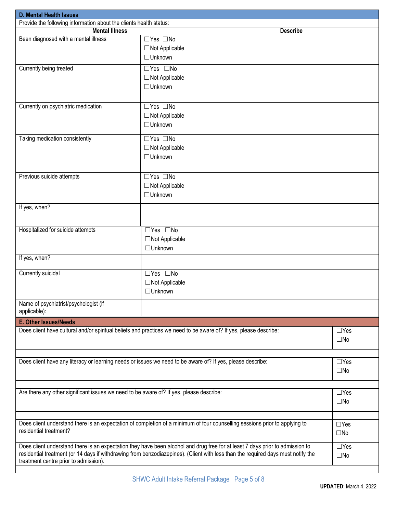| <b>D. Mental Health Issues</b>                                                                                                                                                                                                                                                                                                           |                                                                 |                 |                            |  |  |
|------------------------------------------------------------------------------------------------------------------------------------------------------------------------------------------------------------------------------------------------------------------------------------------------------------------------------------------|-----------------------------------------------------------------|-----------------|----------------------------|--|--|
| Provide the following information about the clients health status:                                                                                                                                                                                                                                                                       |                                                                 |                 |                            |  |  |
| <b>Mental Illness</b>                                                                                                                                                                                                                                                                                                                    |                                                                 | <b>Describe</b> |                            |  |  |
| Been diagnosed with a mental illness                                                                                                                                                                                                                                                                                                     | $\Box$ Yes $\Box$ No<br>$\Box$ Not Applicable<br>□Unknown       |                 |                            |  |  |
| Currently being treated                                                                                                                                                                                                                                                                                                                  | $\Box$ Yes $\Box$ No<br>$\Box$ Not Applicable<br>$\Box$ Unknown |                 |                            |  |  |
| Currently on psychiatric medication                                                                                                                                                                                                                                                                                                      | $\Box$ Yes $\Box$ No<br>$\Box$ Not Applicable<br>□Unknown       |                 |                            |  |  |
| Taking medication consistently                                                                                                                                                                                                                                                                                                           | $\Box$ Yes $\Box$ No<br>$\Box$ Not Applicable<br>□Unknown       |                 |                            |  |  |
| Previous suicide attempts                                                                                                                                                                                                                                                                                                                | $\Box$ Yes $\Box$ No<br>□Not Applicable<br>□Unknown             |                 |                            |  |  |
| If yes, when?                                                                                                                                                                                                                                                                                                                            |                                                                 |                 |                            |  |  |
| Hospitalized for suicide attempts                                                                                                                                                                                                                                                                                                        | □Yes □No<br>□Not Applicable<br>□Unknown                         |                 |                            |  |  |
| If yes, when?                                                                                                                                                                                                                                                                                                                            |                                                                 |                 |                            |  |  |
| Currently suicidal                                                                                                                                                                                                                                                                                                                       | □Yes □No<br>$\Box$ Not Applicable<br>□Unknown                   |                 |                            |  |  |
| Name of psychiatrist/psychologist (if<br>applicable):                                                                                                                                                                                                                                                                                    |                                                                 |                 |                            |  |  |
| <b>E. Other Issues/Needs</b>                                                                                                                                                                                                                                                                                                             |                                                                 |                 |                            |  |  |
| Does client have cultural and/or spiritual beliefs and practices we need to be aware of? If yes, please describe:                                                                                                                                                                                                                        |                                                                 |                 | $\Box$ Yes<br>$\square$ No |  |  |
| Does client have any literacy or learning needs or issues we need to be aware of? If yes, please describe:<br>$\Box$ Yes<br>$\square$ No                                                                                                                                                                                                 |                                                                 |                 |                            |  |  |
| Are there any other significant issues we need to be aware of? If yes, please describe:<br>$\Box$ Yes<br>$\square$ No                                                                                                                                                                                                                    |                                                                 |                 |                            |  |  |
| Does client understand there is an expectation of completion of a minimum of four counselling sessions prior to applying to<br>$\Box$ Yes<br>residential treatment?<br>$\square$ No                                                                                                                                                      |                                                                 |                 |                            |  |  |
| Does client understand there is an expectation they have been alcohol and drug free for at least 7 days prior to admission to<br>$\Box$ Yes<br>residential treatment (or 14 days if withdrawing from benzodiazepines). (Client with less than the required days must notify the<br>$\square$ No<br>treatment centre prior to admission). |                                                                 |                 |                            |  |  |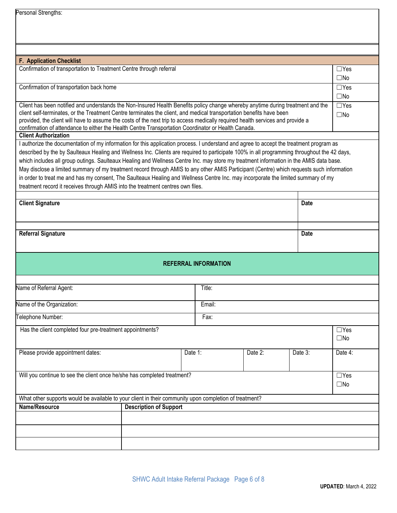| Personal Strengths: |  |
|---------------------|--|
|---------------------|--|

| <b>F. Application Checklist</b><br>Confirmation of transportation to Treatment Centre through referral                                                                                                                                                                                                                                                                                                                                                                                                                                                                                                                                                     |                               |         |                             |         |              | $\Box$ Yes                 |
|------------------------------------------------------------------------------------------------------------------------------------------------------------------------------------------------------------------------------------------------------------------------------------------------------------------------------------------------------------------------------------------------------------------------------------------------------------------------------------------------------------------------------------------------------------------------------------------------------------------------------------------------------------|-------------------------------|---------|-----------------------------|---------|--------------|----------------------------|
|                                                                                                                                                                                                                                                                                                                                                                                                                                                                                                                                                                                                                                                            |                               |         |                             |         |              | $\square$ No               |
| Confirmation of transportation back home                                                                                                                                                                                                                                                                                                                                                                                                                                                                                                                                                                                                                   |                               |         |                             |         |              | $\Box$ Yes                 |
|                                                                                                                                                                                                                                                                                                                                                                                                                                                                                                                                                                                                                                                            |                               |         |                             |         |              | $\square$ No               |
| Client has been notified and understands the Non-Insured Health Benefits policy change whereby anytime during treatment and the                                                                                                                                                                                                                                                                                                                                                                                                                                                                                                                            |                               |         |                             |         |              | $\Box$ Yes                 |
| client self-terminates, or the Treatment Centre terminates the client, and medical transportation benefits have been<br>provided, the client will have to assume the costs of the next trip to access medically required health services and provide a<br>confirmation of attendance to either the Health Centre Transportation Coordinator or Health Canada.<br><b>Client Authorization</b>                                                                                                                                                                                                                                                               |                               |         |                             |         |              | $\square$ No               |
| I authorize the documentation of my information for this application process. I understand and agree to accept the treatment program as                                                                                                                                                                                                                                                                                                                                                                                                                                                                                                                    |                               |         |                             |         |              |                            |
| described by the by Saulteaux Healing and Wellness Inc. Clients are required to participate 100% in all programming throughout the 42 days,<br>which includes all group outings. Saulteaux Healing and Wellness Centre Inc. may store my treatment information in the AMIS data base.<br>May disclose a limited summary of my treatment record through AMIS to any other AMIS Participant (Centre) which requests such information<br>in order to treat me and has my consent, The Saulteaux Healing and Wellness Centre Inc. may incorporate the limited summary of my<br>treatment record it receives through AMIS into the treatment centres own files. |                               |         |                             |         |              |                            |
| <b>Client Signature</b>                                                                                                                                                                                                                                                                                                                                                                                                                                                                                                                                                                                                                                    |                               |         |                             |         | <b>Date</b>  |                            |
|                                                                                                                                                                                                                                                                                                                                                                                                                                                                                                                                                                                                                                                            |                               |         |                             |         |              |                            |
|                                                                                                                                                                                                                                                                                                                                                                                                                                                                                                                                                                                                                                                            |                               |         |                             |         |              |                            |
|                                                                                                                                                                                                                                                                                                                                                                                                                                                                                                                                                                                                                                                            |                               |         |                             |         |              |                            |
| <b>Referral Signature</b>                                                                                                                                                                                                                                                                                                                                                                                                                                                                                                                                                                                                                                  |                               |         |                             |         | <b>Date</b>  |                            |
|                                                                                                                                                                                                                                                                                                                                                                                                                                                                                                                                                                                                                                                            |                               |         |                             |         |              |                            |
|                                                                                                                                                                                                                                                                                                                                                                                                                                                                                                                                                                                                                                                            |                               |         | <b>REFERRAL INFORMATION</b> |         |              |                            |
| Name of Referral Agent:                                                                                                                                                                                                                                                                                                                                                                                                                                                                                                                                                                                                                                    |                               |         | Title:                      |         |              |                            |
|                                                                                                                                                                                                                                                                                                                                                                                                                                                                                                                                                                                                                                                            |                               |         |                             |         |              |                            |
| Name of the Organization:                                                                                                                                                                                                                                                                                                                                                                                                                                                                                                                                                                                                                                  |                               |         | Email:                      |         |              |                            |
| Felephone Number:                                                                                                                                                                                                                                                                                                                                                                                                                                                                                                                                                                                                                                          |                               |         | Fax:                        |         |              |                            |
|                                                                                                                                                                                                                                                                                                                                                                                                                                                                                                                                                                                                                                                            |                               |         |                             |         |              |                            |
| Has the client completed four pre-treatment appointments?                                                                                                                                                                                                                                                                                                                                                                                                                                                                                                                                                                                                  |                               |         |                             |         |              | $\Box$ Yes<br>$\square$ No |
| Please provide appointment dates:                                                                                                                                                                                                                                                                                                                                                                                                                                                                                                                                                                                                                          |                               | Date 1: |                             | Date 2: | Date 3:      | Date 4:                    |
| Will you continue to see the client once he/she has completed treatment?                                                                                                                                                                                                                                                                                                                                                                                                                                                                                                                                                                                   |                               |         |                             |         |              | $\Box$ Yes                 |
|                                                                                                                                                                                                                                                                                                                                                                                                                                                                                                                                                                                                                                                            |                               |         |                             |         | $\square$ No |                            |
|                                                                                                                                                                                                                                                                                                                                                                                                                                                                                                                                                                                                                                                            |                               |         |                             |         |              |                            |
| What other supports would be available to your client in their community upon completion of treatment?<br>Name/Resource                                                                                                                                                                                                                                                                                                                                                                                                                                                                                                                                    |                               |         |                             |         |              |                            |
|                                                                                                                                                                                                                                                                                                                                                                                                                                                                                                                                                                                                                                                            | <b>Description of Support</b> |         |                             |         |              |                            |
|                                                                                                                                                                                                                                                                                                                                                                                                                                                                                                                                                                                                                                                            |                               |         |                             |         |              |                            |
|                                                                                                                                                                                                                                                                                                                                                                                                                                                                                                                                                                                                                                                            |                               |         |                             |         |              |                            |
|                                                                                                                                                                                                                                                                                                                                                                                                                                                                                                                                                                                                                                                            |                               |         |                             |         |              |                            |
|                                                                                                                                                                                                                                                                                                                                                                                                                                                                                                                                                                                                                                                            |                               |         |                             |         |              |                            |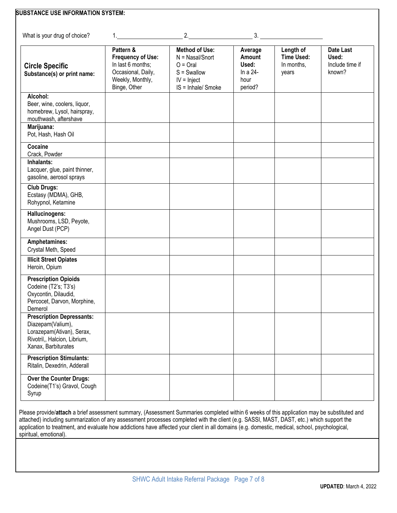| What is your drug of choice?                                                                                                              | 1.                                                                                                                   | 2.                                                                                                               |                                                           | 3.                                                    |                                                 |
|-------------------------------------------------------------------------------------------------------------------------------------------|----------------------------------------------------------------------------------------------------------------------|------------------------------------------------------------------------------------------------------------------|-----------------------------------------------------------|-------------------------------------------------------|-------------------------------------------------|
| <b>Circle Specific</b><br>Substance(s) or print name:                                                                                     | Pattern &<br><b>Frequency of Use:</b><br>In last 6 months;<br>Occasional, Daily,<br>Weekly, Monthly,<br>Binge, Other | <b>Method of Use:</b><br>$N =$ Nasal/Snort<br>$O =$ Oral<br>$S = Swallow$<br>$IV = Inject$<br>IS = Inhale/ Smoke | Average<br>Amount<br>Used:<br>In a 24-<br>hour<br>period? | Length of<br><b>Time Used:</b><br>In months,<br>years | Date Last<br>Used:<br>Include time if<br>known? |
| Alcohol:<br>Beer, wine, coolers, liquor,<br>homebrew, Lysol, hairspray,<br>mouthwash, aftershave                                          |                                                                                                                      |                                                                                                                  |                                                           |                                                       |                                                 |
| Marijuana:<br>Pot, Hash, Hash Oil                                                                                                         |                                                                                                                      |                                                                                                                  |                                                           |                                                       |                                                 |
| Cocaine<br>Crack, Powder                                                                                                                  |                                                                                                                      |                                                                                                                  |                                                           |                                                       |                                                 |
| Inhalants:<br>Lacquer, glue, paint thinner,<br>gasoline, aerosol sprays                                                                   |                                                                                                                      |                                                                                                                  |                                                           |                                                       |                                                 |
| <b>Club Drugs:</b><br>Ecstasy (MDMA), GHB,<br>Rohypnol, Ketamine                                                                          |                                                                                                                      |                                                                                                                  |                                                           |                                                       |                                                 |
| Hallucinogens:<br>Mushrooms, LSD, Peyote,<br>Angel Dust (PCP)                                                                             |                                                                                                                      |                                                                                                                  |                                                           |                                                       |                                                 |
| Amphetamines:<br>Crystal Meth, Speed                                                                                                      |                                                                                                                      |                                                                                                                  |                                                           |                                                       |                                                 |
| <b>Illicit Street Opiates</b><br>Heroin, Opium                                                                                            |                                                                                                                      |                                                                                                                  |                                                           |                                                       |                                                 |
| <b>Prescription Opioids</b><br>Codeine (T2's; T3's)<br>Oxycontin, Dilaudid,<br>Percocet, Darvon, Morphine,<br>Demerol                     |                                                                                                                      |                                                                                                                  |                                                           |                                                       |                                                 |
| <b>Prescription Depressants:</b><br>Diazepam(Valium),<br>Lorazepam(Ativan), Serax,<br>Rivotril,, Halcion, Librium,<br>Xanax, Barbiturates |                                                                                                                      |                                                                                                                  |                                                           |                                                       |                                                 |
| <b>Prescription Stimulants:</b><br>Ritalin, Dexedrin, Adderall                                                                            |                                                                                                                      |                                                                                                                  |                                                           |                                                       |                                                 |
| Over the Counter Drugs:<br>Codeine(T1's) Gravol, Cough<br>Syrup                                                                           |                                                                                                                      |                                                                                                                  |                                                           |                                                       |                                                 |

Please provide/**attach** a brief assessment summary, (Assessment Summaries completed within 6 weeks of this application may be substituted and attached) including summarization of any assessment processes completed with the client (e.g. SASSI, MAST, DAST, etc.) which support the application to treatment, and evaluate how addictions have affected your client in all domains (e.g. domestic, medical, school, psychological, spiritual, emotional).